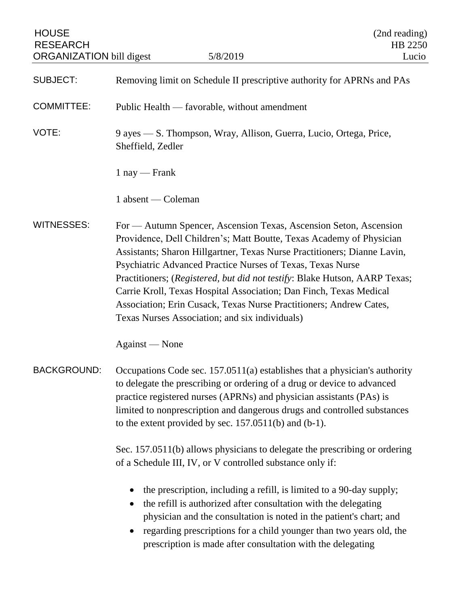| <b>HOUSE</b><br><b>RESEARCH</b><br><b>ORGANIZATION</b> bill digest | 5/8/2019                                                                                                                                                                                                                                                                                                                                                                                                                                                                                                                                                        | (2nd reading)<br>HB 2250<br>Lucio |
|--------------------------------------------------------------------|-----------------------------------------------------------------------------------------------------------------------------------------------------------------------------------------------------------------------------------------------------------------------------------------------------------------------------------------------------------------------------------------------------------------------------------------------------------------------------------------------------------------------------------------------------------------|-----------------------------------|
| <b>SUBJECT:</b>                                                    | Removing limit on Schedule II prescriptive authority for APRNs and PAs                                                                                                                                                                                                                                                                                                                                                                                                                                                                                          |                                   |
| <b>COMMITTEE:</b>                                                  | Public Health — favorable, without amendment                                                                                                                                                                                                                                                                                                                                                                                                                                                                                                                    |                                   |
| VOTE:                                                              | 9 ayes — S. Thompson, Wray, Allison, Guerra, Lucio, Ortega, Price,<br>Sheffield, Zedler                                                                                                                                                                                                                                                                                                                                                                                                                                                                         |                                   |
|                                                                    | $1$ nay — Frank                                                                                                                                                                                                                                                                                                                                                                                                                                                                                                                                                 |                                   |
|                                                                    | 1 absent — Coleman                                                                                                                                                                                                                                                                                                                                                                                                                                                                                                                                              |                                   |
| <b>WITNESSES:</b>                                                  | For — Autumn Spencer, Ascension Texas, Ascension Seton, Ascension<br>Providence, Dell Children's; Matt Boutte, Texas Academy of Physician<br>Assistants; Sharon Hillgartner, Texas Nurse Practitioners; Dianne Lavin,<br>Psychiatric Advanced Practice Nurses of Texas, Texas Nurse<br>Practitioners; (Registered, but did not testify: Blake Hutson, AARP Texas;<br>Carrie Kroll, Texas Hospital Association; Dan Finch, Texas Medical<br>Association; Erin Cusack, Texas Nurse Practitioners; Andrew Cates,<br>Texas Nurses Association; and six individuals) |                                   |
|                                                                    | Against — None                                                                                                                                                                                                                                                                                                                                                                                                                                                                                                                                                  |                                   |
| <b>BACKGROUND:</b>                                                 | Occupations Code sec. $157.0511(a)$ establishes that a physician's authority<br>to delegate the prescribing or ordering of a drug or device to advanced<br>practice registered nurses (APRNs) and physician assistants (PAs) is<br>limited to nonprescription and dangerous drugs and controlled substances<br>to the extent provided by sec. $157.0511(b)$ and $(b-1)$ .                                                                                                                                                                                       |                                   |
|                                                                    | Sec. 157.0511(b) allows physicians to delegate the prescribing or ordering<br>of a Schedule III, IV, or V controlled substance only if:                                                                                                                                                                                                                                                                                                                                                                                                                         |                                   |
|                                                                    | the prescription, including a refill, is limited to a 90-day supply;<br>the refill is authorized after consultation with the delegating<br>physician and the consultation is noted in the patient's chart; and<br>regarding prescriptions for a child younger than two years old, the<br>prescription is made after consultation with the delegating                                                                                                                                                                                                            |                                   |